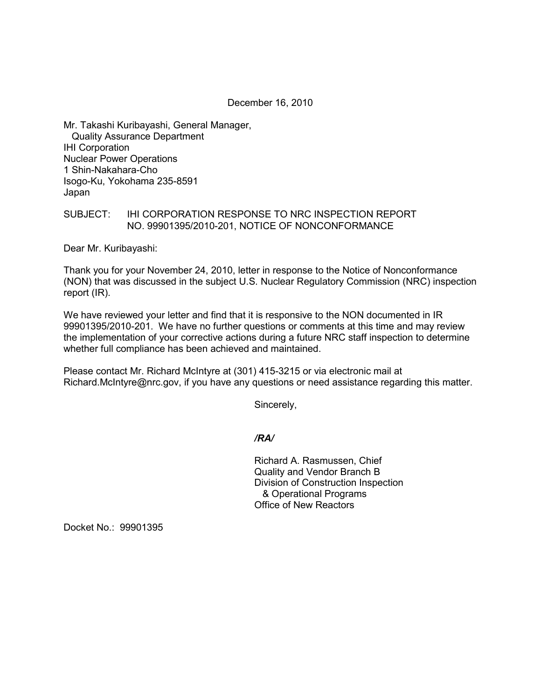December 16, 2010

Mr. Takashi Kuribayashi, General Manager, Quality Assurance Department IHI Corporation Nuclear Power Operations 1 Shin-Nakahara-Cho Isogo-Ku, Yokohama 235-8591 Japan

## SUBJECT: IHI CORPORATION RESPONSE TO NRC INSPECTION REPORT NO. 99901395/2010-201, NOTICE OF NONCONFORMANCE

Dear Mr. Kuribayashi:

Thank you for your November 24, 2010, letter in response to the Notice of Nonconformance (NON) that was discussed in the subject U.S. Nuclear Regulatory Commission (NRC) inspection report (IR).

We have reviewed your letter and find that it is responsive to the NON documented in IR 99901395/2010-201. We have no further questions or comments at this time and may review the implementation of your corrective actions during a future NRC staff inspection to determine whether full compliance has been achieved and maintained.

Please contact Mr. Richard McIntyre at (301) 415-3215 or via electronic mail at Richard.McIntyre@nrc.gov, if you have any questions or need assistance regarding this matter.

Sincerely,

*/RA/* 

Richard A. Rasmussen, Chief Quality and Vendor Branch B Division of Construction Inspection & Operational Programs Office of New Reactors

Docket No.: 99901395